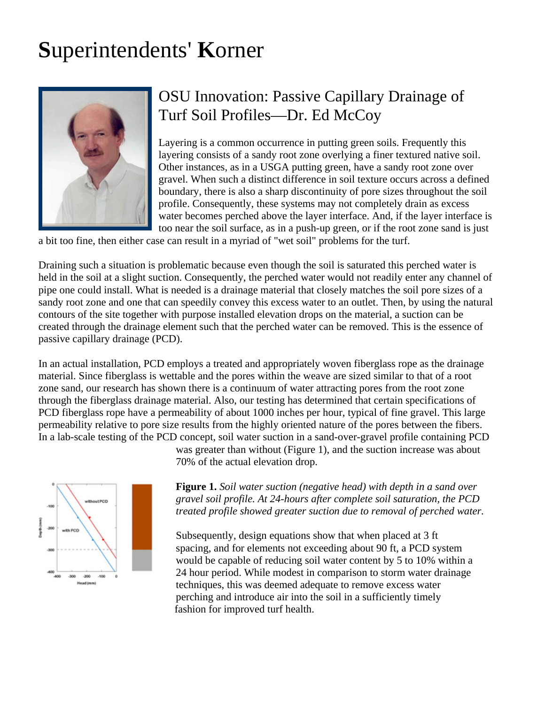## **S**uperintendents' **K**orner



## OSU Innovation: Passive Capillary Drainage of Turf Soil Profiles—Dr. Ed McCoy

boundary, there is also a sharp discontinuity of pore sizes throughout the soil water becomes perched above the layer interface. And, if the layer interface is Layering is a common occurrence in putting green soils. Frequently this layering consists of a sandy root zone overlying a finer textured native soil. Other instances, as in a USGA putting green, have a sandy root zone over gravel. When such a distinct difference in soil texture occurs across a defined profile. Consequently, these systems may not completely drain as excess too near the soil surface, as in a push-up green, or if the root zone sand is just

a bit too fine, then either case can result in a myriad of "wet soil" problems for the turf.

Draining such a situation is problematic because even though the soil is saturated this perched water is held in the soil at a slight suction. Consequently, the perched water would not readily enter any channel of pipe one could install. What is needed is a drainage material that closely matches the soil pore sizes of a sandy root zone and one that can speedily convey this excess water to an outlet. Then, by using the natural contours of the site together with purpose installed elevation drops on the material, a suction can be created through the drainage element such that the perched water can be removed. This is the essence of passive capillary drainage (PCD).

In an actual installation, PCD employs a treated and appropriately woven fiberglass rope as the drainage material. Since fiberglass is wettable and the pores within the weave are sized similar to that of a root zone sand, our research has shown there is a continuum of water attracting pores from the root zone through the fiberglass drainage material. Also, our testing has determined that certain specifications of PCD fiberglass rope have a permeability of about 1000 inches per hour, typical of fine gravel. This large permeability relative to pore size results from the highly oriented nature of the pores between the fibers. In a lab-scale testing of the PCD concept, soil water suction in a sand-over-gravel profile containing PCD



was greater than without (Figure 1), and the suction increase was about 70% of the actual elevation drop.

**Figure 1.** *Soil water suction (negative head) with depth in a sand over gravel soil profile. At 24-hours after complete soil saturation, the PCD treated profile showed greater suction due to removal of perched water.*

Subsequently, design equations show that when placed at 3 ft spacing, and for elements not exceeding about 90 ft, a PCD system would be capable of reducing soil water content by 5 to 10% within a 24 hour period. While modest in comparison to storm water drainage techniques, this was deemed adequate to remove excess water perching and introduce air into the soil in a sufficiently timely fashion for improved turf health.